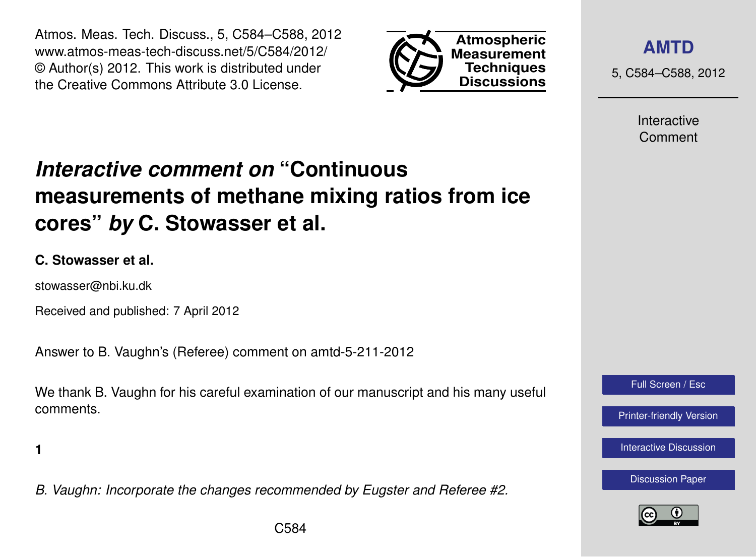Atmos. Meas. Tech. Discuss., 5, C584–C588, 2012 www.atmos-meas-tech-discuss.net/5/C584/2012/ © Author(s) 2012. This work is distributed under the Creative Commons Attribute 3.0 License.



**[AMTD](http://www.atmos-meas-tech-discuss.net)**

5, C584–C588, 2012

Interactive Comment

# *Interactive comment on* **"Continuous measurements of methane mixing ratios from ice cores"** *by* **C. Stowasser et al.**

#### **C. Stowasser et al.**

stowasser@nbi.ku.dk

Received and published: 7 April 2012

Answer to B. Vaughn's (Referee) comment on amtd-5-211-2012

We thank B. Vaughn for his careful examination of our manuscript and his many useful comments.

**1**

*B. Vaughn: Incorporate the changes recommended by Eugster and Referee #2.*



Full Screen / Esc

[Printer-friendly Version](http://www.atmos-meas-tech-discuss.net/5/C584/2012/amtd-5-C584-2012-print.pdf)

[Interactive Discussion](http://www.atmos-meas-tech-discuss.net/5/211/2012/amtd-5-211-2012-discussion.html)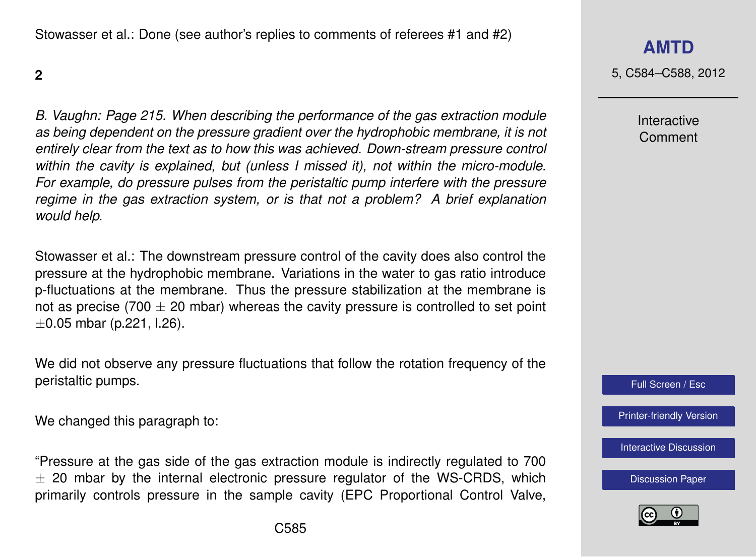Stowasser et al.: Done (see author's replies to comments of referees #1 and #2)

**2**

*B. Vaughn: Page 215. When describing the performance of the gas extraction module as being dependent on the pressure gradient over the hydrophobic membrane, it is not entirely clear from the text as to how this was achieved. Down-stream pressure control within the cavity is explained, but (unless I missed it), not within the micro-module. For example, do pressure pulses from the peristaltic pump interfere with the pressure regime in the gas extraction system, or is that not a problem? A brief explanation would help.*

Stowasser et al.: The downstream pressure control of the cavity does also control the pressure at the hydrophobic membrane. Variations in the water to gas ratio introduce p-fluctuations at the membrane. Thus the pressure stabilization at the membrane is not as precise (700  $\pm$  20 mbar) whereas the cavity pressure is controlled to set point  $\pm 0.05$  mbar (p.221, l.26).

We did not observe any pressure fluctuations that follow the rotation frequency of the peristaltic pumps.

We changed this paragraph to:

"Pressure at the gas side of the gas extraction module is indirectly regulated to 700  $\pm$  20 mbar by the internal electronic pressure regulator of the WS-CRDS, which primarily controls pressure in the sample cavity (EPC Proportional Control Valve, **[AMTD](http://www.atmos-meas-tech-discuss.net)**

5, C584–C588, 2012

Interactive Comment



[Printer-friendly Version](http://www.atmos-meas-tech-discuss.net/5/C584/2012/amtd-5-C584-2012-print.pdf)

[Interactive Discussion](http://www.atmos-meas-tech-discuss.net/5/211/2012/amtd-5-211-2012-discussion.html)

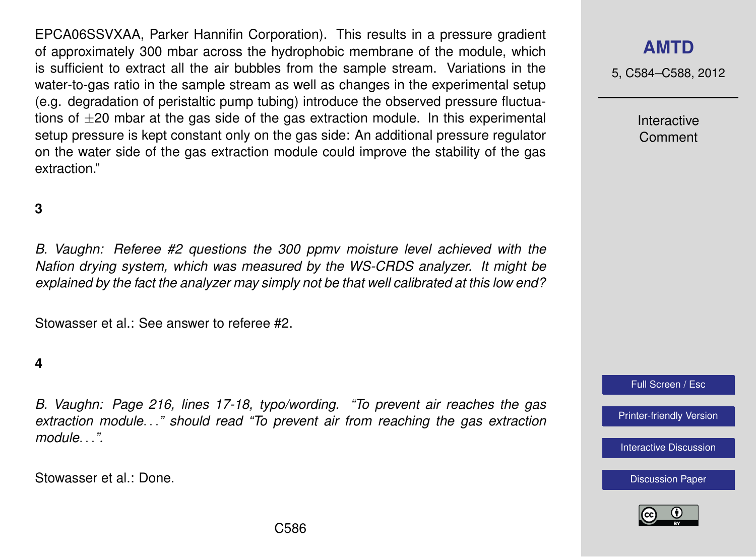EPCA06SSVXAA, Parker Hannifin Corporation). This results in a pressure gradient of approximately 300 mbar across the hydrophobic membrane of the module, which is sufficient to extract all the air bubbles from the sample stream. Variations in the water-to-gas ratio in the sample stream as well as changes in the experimental setup (e.g. degradation of peristaltic pump tubing) introduce the observed pressure fluctuations of  $\pm 20$  mbar at the gas side of the gas extraction module. In this experimental setup pressure is kept constant only on the gas side: An additional pressure regulator on the water side of the gas extraction module could improve the stability of the gas extraction."

#### **3**

*B. Vaughn: Referee #2 questions the 300 ppmv moisture level achieved with the Nafion drying system, which was measured by the WS-CRDS analyzer. It might be explained by the fact the analyzer may simply not be that well calibrated at this low end?*

Stowasser et al.: See answer to referee #2.

#### **4**

*B. Vaughn: Page 216, lines 17-18, typo/wording. "To prevent air reaches the gas extraction module*. . .*" should read "To prevent air from reaching the gas extraction module*. . .*".*

Stowasser et al.: Done.

#### **[AMTD](http://www.atmos-meas-tech-discuss.net)**

5, C584–C588, 2012

Interactive Comment

Full Screen / Esc

[Printer-friendly Version](http://www.atmos-meas-tech-discuss.net/5/C584/2012/amtd-5-C584-2012-print.pdf)

[Interactive Discussion](http://www.atmos-meas-tech-discuss.net/5/211/2012/amtd-5-211-2012-discussion.html)

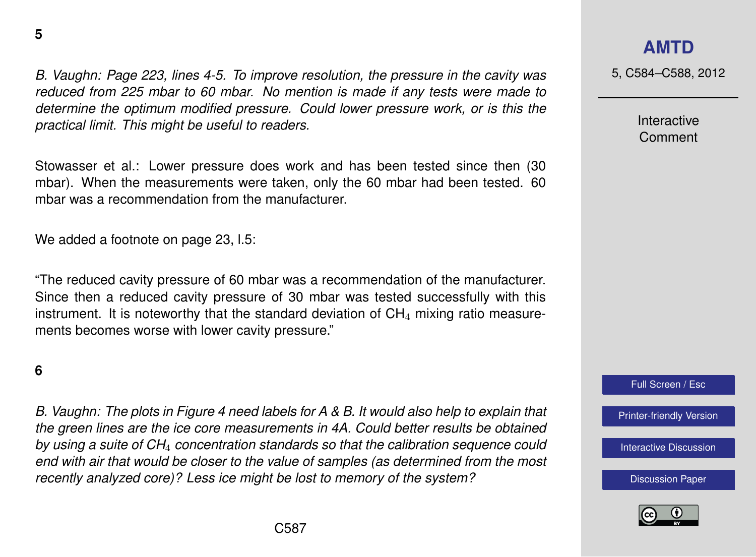*B. Vaughn: Page 223, lines 4-5. To improve resolution, the pressure in the cavity was reduced from 225 mbar to 60 mbar. No mention is made if any tests were made to determine the optimum modified pressure. Could lower pressure work, or is this the practical limit. This might be useful to readers.*

Stowasser et al.: Lower pressure does work and has been tested since then (30 mbar). When the measurements were taken, only the 60 mbar had been tested. 60 mbar was a recommendation from the manufacturer.

We added a footnote on page 23, l.5:

"The reduced cavity pressure of 60 mbar was a recommendation of the manufacturer. Since then a reduced cavity pressure of 30 mbar was tested successfully with this instrument. It is noteworthy that the standard deviation of  $CH<sub>4</sub>$  mixing ratio measurements becomes worse with lower cavity pressure."

#### **6**

*B. Vaughn: The plots in Figure 4 need labels for A & B. It would also help to explain that the green lines are the ice core measurements in 4A. Could better results be obtained by using a suite of CH*<sup>4</sup> *concentration standards so that the calibration sequence could end with air that would be closer to the value of samples (as determined from the most recently analyzed core)? Less ice might be lost to memory of the system?*

### **[AMTD](http://www.atmos-meas-tech-discuss.net)**

5, C584–C588, 2012

Interactive Comment

Full Screen / Esc

[Printer-friendly Version](http://www.atmos-meas-tech-discuss.net/5/C584/2012/amtd-5-C584-2012-print.pdf)

[Interactive Discussion](http://www.atmos-meas-tech-discuss.net/5/211/2012/amtd-5-211-2012-discussion.html)